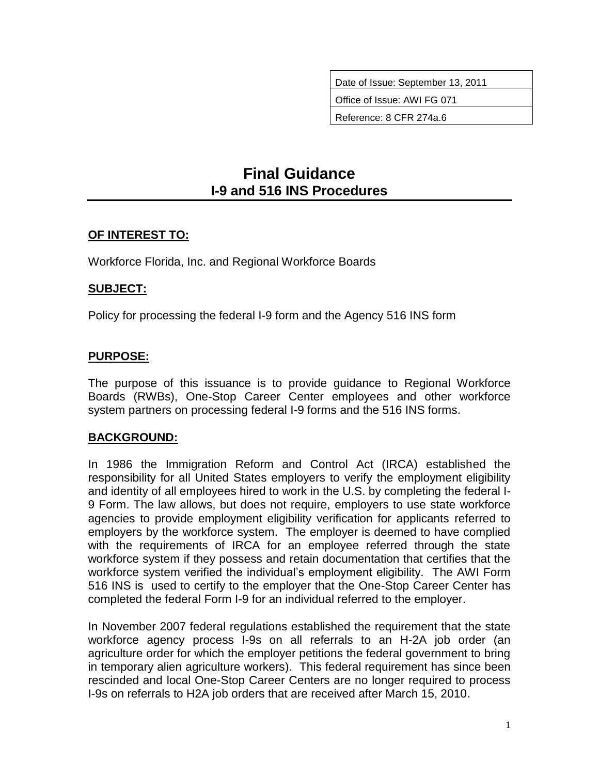Date of Issue: September 13, 2011

Office of Issue: AWI FG 071

Reference: 8 CFR 274a.6

# **Final Guidance I-9 and 516 INS Procedures**

# **OF INTEREST TO:**

Workforce Florida, Inc. and Regional Workforce Boards

#### **SUBJECT:**

Policy for processing the federal I-9 form and the Agency 516 INS form

# **PURPOSE:**

The purpose of this issuance is to provide guidance to Regional Workforce Boards (RWBs), One-Stop Career Center employees and other workforce system partners on processing federal I-9 forms and the 516 INS forms.

#### **BACKGROUND:**

In 1986 the Immigration Reform and Control Act (IRCA) established the responsibility for all United States employers to verify the employment eligibility and identity of all employees hired to work in the U.S. by completing the federal I-9 Form. The law allows, but does not require, employers to use state workforce agencies to provide employment eligibility verification for applicants referred to employers by the workforce system. The employer is deemed to have complied with the requirements of IRCA for an employee referred through the state workforce system if they possess and retain documentation that certifies that the workforce system verified the individual's employment eligibility. The AWI Form 516 INS is used to certify to the employer that the One-Stop Career Center has completed the federal Form I-9 for an individual referred to the employer.

In November 2007 federal regulations established the requirement that the state workforce agency process I-9s on all referrals to an H-2A job order (an agriculture order for which the employer petitions the federal government to bring in temporary alien agriculture workers). This federal requirement has since been rescinded and local One-Stop Career Centers are no longer required to process I-9s on referrals to H2A job orders that are received after March 15, 2010.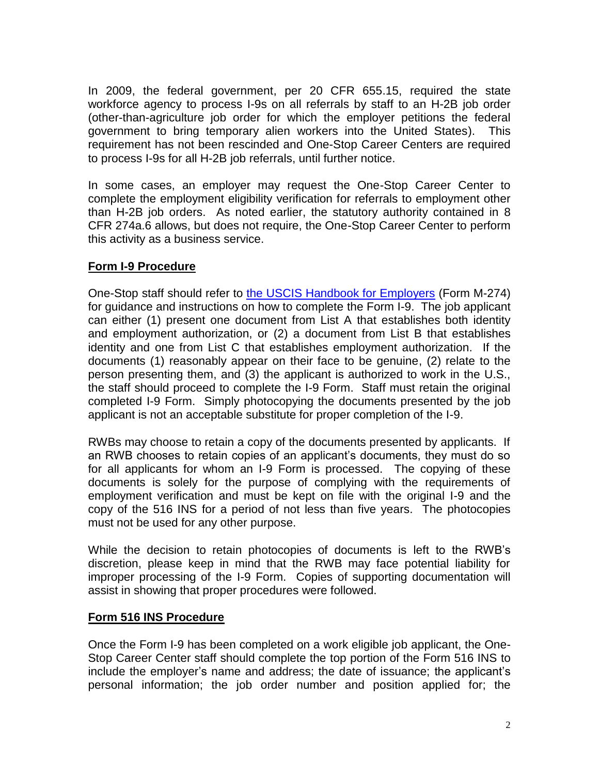In 2009, the federal government, per 20 CFR 655.15, required the state workforce agency to process I-9s on all referrals by staff to an H-2B job order (other-than-agriculture job order for which the employer petitions the federal government to bring temporary alien workers into the United States). This requirement has not been rescinded and One-Stop Career Centers are required to process I-9s for all H-2B job referrals, until further notice.

In some cases, an employer may request the One-Stop Career Center to complete the employment eligibility verification for referrals to employment other than H-2B job orders. As noted earlier, the statutory authority contained in 8 CFR 274a.6 allows, but does not require, the One-Stop Career Center to perform this activity as a business service.

# **Form I-9 Procedure**

One-Stop staff should refer to [the USCIS Handbook for Employers](http://www.uscis.gov/files/form/m-274.pdf) (Form M-274) for guidance and instructions on how to complete the Form I-9. The job applicant can either (1) present one document from List A that establishes both identity and employment authorization, or (2) a document from List B that establishes identity and one from List C that establishes employment authorization. If the documents (1) reasonably appear on their face to be genuine, (2) relate to the person presenting them, and (3) the applicant is authorized to work in the U.S., the staff should proceed to complete the I-9 Form. Staff must retain the original completed I-9 Form. Simply photocopying the documents presented by the job applicant is not an acceptable substitute for proper completion of the I-9.

RWBs may choose to retain a copy of the documents presented by applicants. If an RWB chooses to retain copies of an applicant's documents, they must do so for all applicants for whom an I-9 Form is processed. The copying of these documents is solely for the purpose of complying with the requirements of employment verification and must be kept on file with the original I-9 and the copy of the 516 INS for a period of not less than five years. The photocopies must not be used for any other purpose.

While the decision to retain photocopies of documents is left to the RWB's discretion, please keep in mind that the RWB may face potential liability for improper processing of the I-9 Form. Copies of supporting documentation will assist in showing that proper procedures were followed.

#### **Form 516 INS Procedure**

Once the Form I-9 has been completed on a work eligible job applicant, the One-Stop Career Center staff should complete the top portion of the Form 516 INS to include the employer's name and address; the date of issuance; the applicant's personal information; the job order number and position applied for; the